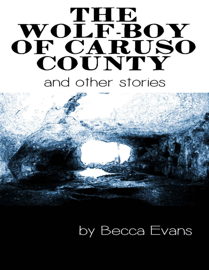# THE WOLF-BOY OF CARUSO COUNTY and other stories

## by Becca Evans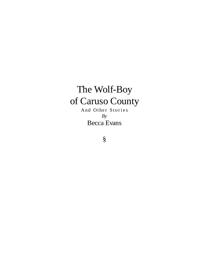### The Wolf-Boy of Caruso County

And Other Stories *By* Becca Evans

§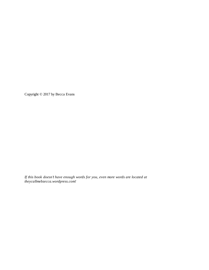Copyright © 2017 by Becca Evans

*If this book doesn't have enough words for you, even more words are located at theycallmebzecca.wordpress.com!*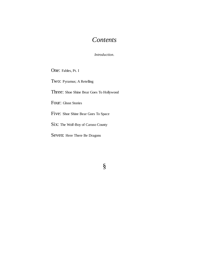#### *Contents*

*Introduction.*

One: Fables, Pt. I

Two: Pyramus; A Retelling

Three: Shoe Shine Bear Goes To Hollywood

Four: Ghost Stories

Five: Shoe Shine Bear Goes To Space

Six: The Wolf-Boy of Caruso County

Seven: Here There Be Dragons

§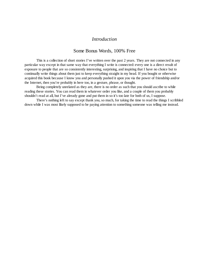#### *Introduction*

#### Some Bonus Words, 100% Free

This is a collection of short stories I've written over the past 2 years. They are not connected in any particular way except in that same way that everything I write is connected: every one is a direct result of exposure to people that are so consistently interesting, surprising, and inspiring that I have no choice but to continually write things about them just to keep everything straight in my head. If you bought or otherwise acquired this book because I know you and personally pushed it upon you via the power of friendship and/or the Internet, then you're probably in here too, in a gesture, phrase, or thought.

Being completely unrelated as they are, there is no order as such that you should ascribe to while reading these stories. You can read them in whatever order you like, and a couple of them you probably shouldn't read at all, but I've already gone and put them in so it's too late for both of us, I suppose.

There's nothing left to say except thank you, so much, for taking the time to read the things I scribbled down while I was most likely supposed to be paying attention to something someone was telling me instead.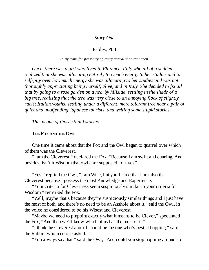#### *Story One*

#### Fables, Pt. I

*To my mom, for personifying every animal she's ever seen.*

*Once, there was a girl who lived in Florence, Italy who all of a sudden realized that she was allocating entirely too much energy to her studies and to self-pity over how much energy she was allocating to her studies and was not thoroughly appreciating being herself, alive, and in Italy. She decided to fix all that by going to a rose garden on a nearby hillside, settling in the shade of a big tree, realizing that the tree was very close to an annoying flock of slightly racist Italian youths, settling under a different, more tolerant tree near a pair of quiet and unoffending Japanese tourists, and writing some stupid stories.*

*This is one of those stupid stories.*

#### **THE FOX AND THE OWL**

One time it came about that the Fox and the Owl began to quarrel over which of them was the Cleverest.

"I am the Cleverest," declared the Fox, "Because I am swift and cunning. And besides, isn't it Wisdom that owls are supposed to have?"

"Yes," replied the Owl, "I am Wise, but you'll find that I am also the Cleverest because I possess the most Knowledge and Experience."

"Your criteria for Cleverness seem suspiciously similar to your criteria for Wisdom," remarked the Fox.

"Well, maybe that's because they're suspiciously similar things and I just have the most of both, and there's no need to be an Asshole about it," said the Owl, in the voice he considered to be his Wisest and Cleverest.

"Maybe we need to pinpoint exactly what it means to be Clever," speculated the Fox, "And then we'll know which of us has the most of it."

"I think the Cleverest animal should be the one who's best at hopping," said the Rabbit, whom no one asked.

"You always say that," said the Owl, "And could you stop hopping around so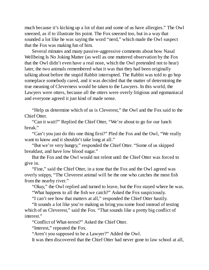much because it's kicking up a lot of dust and some of us have allergies." The Owl sneezed, as if to illustrate his point. The Fox sneezed too, but in a way that sounded a lot like he was saying the word "nerd," which made the Owl suspect that the Fox was making fun of him.

Several minutes and many passive-aggressive comments about how Nasal Wellbeing Is No Joking Matter (as well as one muttered observation by the Fox that the Owl didn't even have a real nose, which the Owl pretended not to hear) later, the two animals remembered what it was that they had been originally talking about before the stupid Rabbit interrupted. The Rabbit was told to go hop someplace somebody cared, and it was decided that the matter of determining the true meaning of Cleverness would be taken to the Lawyers. In this world, the Lawyers were otters, because all the otters were overly litigious and egomaniacal and everyone agreed it just kind of made sense.

"Help us determine which of us is Cleverest," the Owl and the Fox said to the Chief Otter.

"Can it wait?" Replied the Chief Otter, "We're about to go for our lunch break."

"Can't you just do this one thing first?" Pled the Fox and the Owl, "We really want to know and it shouldn't take long at all."

"But we're very hungry," responded the Chief Otter. "Some of us skipped breakfast, and have low blood sugar."

But the Fox and the Owl would not relent until the Chief Otter was forced to give in.

"Fine," said the Chief Otter, in a tone that the Fox and the Owl agreed was overly snippy, "The Cleverest animal will be the one who catches the most fish from the nearby river."

"Okay," the Owl replied and turned to leave, but the Fox stayed where he was. "What happens to all the fish we catch?" Asked the Fox suspiciously.

"I can't see how that matters at all," responded the Chief Otter hastily.

"It sounds a lot like you're making us bring you some food instead of testing which of us Cleverest," said the Fox. "That sounds like a pretty big conflict of interest."

"Conflict of What-terest?" Asked the Chief Otter.

"Interest," repeated the Fox.

"Aren't you supposed to be a Lawyer?" Added the Owl.

It was then discovered that the Chief Otter had never gone to law school at all,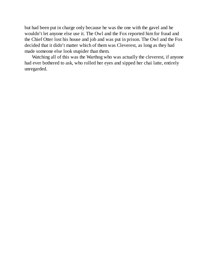but had been put in charge only because he was the one with the gavel and he wouldn't let anyone else use it. The Owl and the Fox reported him for fraud and the Chief Otter lost his house and job and was put in prison. The Owl and the Fox decided that it didn't matter which of them was Cleverest, as long as they had made someone else look stupider than them.

Watching all of this was the Warthog who was actually the cleverest, if anyone had ever bothered to ask, who rolled her eyes and sipped her chai latte, entirely unregarded.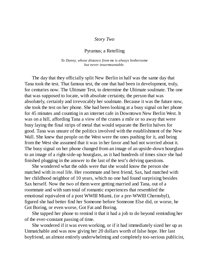#### *Story Two*

#### Pyramus; a Retelling

*To Danny, whose distance from me is always bothersome but never insurmountable.*

The day that they officially split New Berlin in half was the same day that Tana took the test. That famous test, the one that had been in development, truly, for centuries now. The Ultimate Test, to determine the Ultimate soulmate. The one that was supposed to locate, with absolute certainty, the person that was absolutely, certainly and irrevocably her soulmate. Because it was the future now, she took the test on her phone. She had been looking at a busy signal on her phone for 45 minutes and counting in an internet cafe in Downtown New Berlin West. It was on a hill, affording Tana a view of the cranes a mile or so away that were busy laying the final strips of metal that would separate the Berlin halves for good. Tana was unsure of the politics involved with the establishment of the New Wall. She knew that people on the West were the ones pushing for it, and being from the West she assumed that it was in her favor and had not worried about it. The busy signal on her phone changed from an image of an upside-down hourglass to an image of a right-side-up hourglass, as it had hundreds of times since she had finished plugging in the answer to the last of the test's delving questions.

She wondered what the odds were that she would know the person she matched with in real life. Her roommate and best friend, Sax, had matched with her childhood neighbor of 10 years, which no one had found surprising besides Sax herself. Now the two of them were getting married and Tana, out of a roommate and with sum total of romantic experiences that resembled the emotional equivalent of a post WWIII Miami, (or a pre-WWIII Chernobyl), figured she had better find her Someone before Someone Else did, or worse, he Got Boring, or even worse, Got Fat and Boring.

She tapped her phone to remind it that it had a job to do beyond reminding her of the ever-constant passing of time.

She wondered if it was even working, or if it had immediately sized her up as Unmatchable and was now giving her 20 dollars worth of false hope. Her last boyfriend, an almost entirely underwhelming and completely too-serious publicist,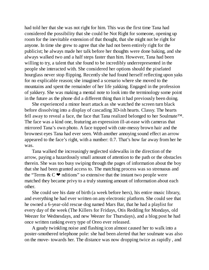had told her that she was not right for him. This was the first time Tana had considered the possibility that she could be Not Right for someone, opening up room for the inevitable extension of that thought, that she might not be right for anyone. In time she grew to agree that she had not been entirely right for the publicist; he always made her talk before her thoughts were done baking, and she always walked two and a half steps faster than him. However, Tana had been willing to try, a talent that she found to be incredibly underrepresented in the people she interacted with. She considered her options should the pixelated hourglass never stop flipping. Recently she had found herself reflecting upon yaks for no explicable reason; she imagined a scenario where she moved to the mountains and spent the remainder of her life yakking. Engaged in the profession of yakkery. She was making a mental note to look into the terminology some point in the future as the phone did a different thing than it had previously been doing.

She experienced a minor heart attack as she watched the screen turn black before dissolving into a display of cascading 3D-ish hearts. Classy. The hearts fell away to reveal a face, the face that Tana realized belonged to her Soulmate™. The face was a kind one, featuring an expression ill-at-ease with cameras that mirrored Tana's own photo. A face topped with cute-messy brown hair and the brownest eyes Tana had ever seen. With another annoying sound effect an arrow appeared to the face's right, with a number: 0.7. That's how far away from her he was.

Tana walked the increasingly neglected sidewalks in the direction of the arrow, paying a hazardously small amount of attention to the path or the obstacles therein. She was too busy swiping through the pages of information about the boy that she had been granted access to. The matching process was so strenuous and the "Terms  $\& C \bullet \text{nditions}$ " so extensive that the instant two people were matched they became privy to a truly stunning amount of information about each other.

She could see his date of birth (a week before hers), his entire music library, and everything he had ever written on any electronic platform. She could see that he owned a 6-year-old rescue dog named Mars Bar, that he had a playlist for every day of the week (The Killers for Fridays, Otis Redding for Mondays, old Weezer for Wednesdays, and new Weezer for Thursdays), and a blog post he had once written ranking every type of Oreo ever released.

A gaudy twinkling noise and flashing icon almost caused her to walk into a poster-smothered telephone pole: she had been alerted that her soulmate was also on the move- towards her. The distance was now dropping twice as rapidly , and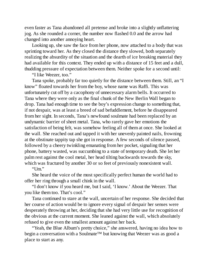even faster as Tana abandoned all pretense and broke into a slightly unflattering jog. As she rounded a corner, the number now flashed 0.0 and the arrow had changed into another annoying heart.

Looking up, she saw the face from her phone, now attached to a body that was sprinting toward her. As they closed the distance they slowed, both separately realizing the absurdity of the situation and the dearth of ice breaking material they had available for this context. They ended up with a distance of 15 feet and a dull, thudding pressure of expectation between them. Neither spoke for a second until:

"I like Weezer, too."

Tana spoke, probably far too quietly for the distance between them. Still, an "I know" floated towards her from the boy, whose name was Raffi. This was unfortunately cut off by a cacophony of unnecessary alarm bells. It occurred to Tana where they were only as the final chunk of the New Berlin Wall began to drop. Tana had enough time to see the boy's expression change to something that, if not despair, was at least a breed of sad befuddlement, before he disappeared from her sight. In seconds, Tana's newfound soulmate had been replaced by an undynamic barrier of sheet metal. Tana, who rarely gave her emotions the satisfaction of being felt, was somehow feeling all of them at once. She looked at the wall. She reached out and tapped it with her unevenly painted nails, frowning at the obstinate tappity tap she got in response. A few seconds of silence passed, followed by a cheery twinkling emanating from her pocket, signaling that her phone, battery wasted, was succumbing to a state of temporary death. She let her palm rest against the cool metal, her head tilting backwards towards the sky, which was fractured by another 30 or so feet of previously nonexistent wall.

"Um."

She heard the voice of the most specifically perfect human the world had to offer her ring through a small chink in the wall.

"I don't know if you heard me, but I said, 'I know.' About the Weezer. That you like them too. That's cool."

Tana continued to stare at the wall, uncertain of her response. She decided that her course of action would be to ignore every signal of despair her senses were desperately throwing at her, deciding that she had very little use for recognition of the obvious at the current moment. She leaned against the wall, which absolutely refused to give even the smallest amount against her back.

"Yeah, the Blue Album's pretty choice," she answered, having no idea how to begin a conversation with a Soulmate™ but knowing that Weezer was as good a place to start as any.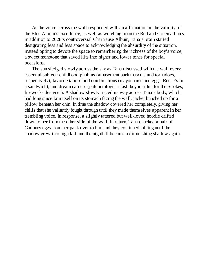As the voice across the wall responded with an affirmation on the validity of the Blue Album's excellence, as well as weighing in on the Red and Green albums in addition to 2028's controversial Chartreuse Album, Tana's brain started designating less and less space to acknowledging the absurdity of the situation, instead opting to devote the space to remembering the richness of the boy's voice, a sweet monotone that saved lilts into higher and lower tones for special occasions.

The sun sledged slowly across the sky as Tana discussed with the wall every essential subject: childhood phobias (amusement park mascots and tornadoes, respectively), favorite taboo food combinations (mayonnaise and eggs, Reese's in a sandwich), and dream careers (paleontologist-slash-keyboardist for the Strokes, fireworks designer). A shadow slowly traced its way across Tana's body, which had long since lain itself on its stomach facing the wall, jacket bunched up for a pillow beneath her chin. In time the shadow covered her completely, giving her chills that she valiantly fought through until they made themselves apparent in her trembling voice. In response, a slightly tattered but well-loved hoodie drifted down to her from the other side of the wall. In return, Tana chucked a pair of Cadbury eggs from her pack over to him and they continued talking until the shadow grew into nightfall and the nightfall became a diminishing shadow again.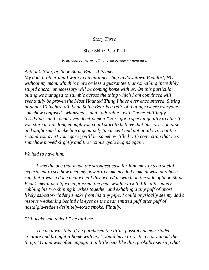#### *Story Three*

#### Shoe Shine Bear Pt. 1

*To my dad, for never failing to encourage my nonsense.*

#### *Author's Note, or, Shoe Shine Bear: A Primer*

*My dad, brother and I were in an antiques shop in downtown Beaufort, NC without my mom, which is more or less a guarantee that something incredibly stupid and/or unnecessary will be coming home with us. On this particular outing we managed to stumble across the thing which I am convinced will eventually be proven the Most Haunted Thing I have ever encountered. Sitting at about 10 inches tall, Shoe Shine Bear is a relic of that age where everyone somehow confused "whimsical" and "adorable" with "bone-chillingly terrifying" and "dead-eyed demi-demon." He's got a special quality to him; if you stare at him long enough you could start to believe that his corn-cob pipe and slight smirk make him a genuinely fun accent and not at all evil, but the second you avert your gaze you'll be somehow filled with conviction that he's somehow moved slightly and the vicious cycle begins again.*

*We had to have him.*

*I was the one that made the strongest case for him, mostly as a social experiment to see how deep my power to make my dad make unwise purchases ran, but it was a done deal when I discovered a switch on the side of Shoe Shine Bear's metal perch; when pressed, the bear would click to life, alternately rubbing his two shining brushes together and exhaling a tiny puff of (most likely asbestos-ridden) smoke from his tiny pipe. I could physically see my dad's resolve weakening behind his eyes as the bear emitted puff after puff of nostalgia-ridden definitely-toxic smoke. Finally,*

*"I'll make you a deal," he told me.*

*The deal was this: if he purchased the little, possibly demon-ridden creature and brought it home with us, I would have to write a story about the thing. My dad was often engaging in little bets like this, probably sensing that*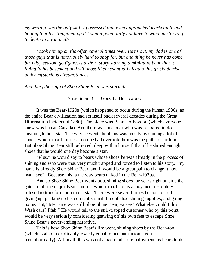*my writing was the only skill I possessed that even approached marketable and hoping that by strengthening it I would potentially not have to wind up starving to death in my mid 20s.*

*I took him up on the offer, several times over. Turns out, my dad is one of those guys that is notoriously hard to shop for, but one thing he never has come birthday season, go figure, is a short story starring a miniature bear that is living in his basement and will most likely eventually lead to his grisly demise under mysterious circumstances.*

*And thus, the saga of Shoe Shine Bear was started.*

SHOE SHINE BEAR GOES T<sup>O</sup> HOLLYWOOD

It was the Bear-1920s (which happened to occur during the human 1980s, as the entire Bear civilization had set itself back several decades during the Great Hibernation Incident of 1880). The place was Bear-Hollywood (which everyone knew was human Canada). And there was one bear who was prepared to do anything to be a star. The way he went about this was mostly by shining a lot of shoes, which, in all fairness, no one had ever told him was the path to stardom. But Shoe Shine Bear still believed, deep within himself, that if he shined enough shoes that he would one day become a star.

"Plus," he would say to bears whose shoes he was already in the process of shining and who were thus very much trapped and forced to listen to his story, "my name is already Shoe Shine Bear, and it would be a great pain to change it now, nyah, see?" Because this is the way bears talked in the Bear-1920s.

And so Shoe Shine Bear went about shining shoes for years right outside the gates of all the major Bear-studios, which, much to his annoyance, resolutely refused to transform him into a star. There were several times he considered giving up, packing up his comically small box of shoe shining supplies, and going home. But, "My name was still Shoe Shine Bear, ya see? What else could I do? Wash cars? Pfah!" He would tell to the still-trapped customer who by this point would be very seriously considering gnawing off his own feet to escape Shoe Shine Bear's never-ending narrative.

This is how Shoe Shine Bear's life went, shining shoes by the Bear-ton (which is also, inexplicably, exactly equal to one human ton, even metaphorically). All in all, this was not a bad mode of employment, as bears took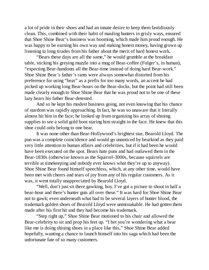a lot of pride in their shoes and had an innate desire to keep them fastidiously clean. This, combined with their habit of mauling hunters in grisly ways, ensured that Shoe Shine Bear's business was booming, which made him proud enough. He was happy to be earning his own way and making honest money, having grown up listening to long tirades from his father about the merit of hard honest work.

"Bears these days are all the same," he would grumble at the breakfast table, sticking his greying muzzle into a mug of Bear-coffee (Folger's, in human), "expecting Bear-handouts all the Bear-time instead of doing hard Bear-work." Shoe Shine Bear's father's rants were always somewhat distorted from his preference for using "bear" as a prefix for too many words, an accent he had picked up working long Bear-hours on the Bear-docks, but the point had still been made clearly enough to Shoe Shine Bear that he was proud not to be one of these lazy bears his father Bear-detested.

And so he kept his modest business going, not even knowing that his chance of stardom was rapidly approaching. In fact, he was so unaware that it literally almost hit him in the face; he looked up from organizing his array of shining supplies to see a solid gold boot staring him straight in the face. He knew that this shoe could only belong to one bear.

It was none other than Bear-Hollywood's brightest star, Bearold Lloyd. The pun was a complete coincidence and would go unnoticed by bearkind as they paid very little attention to human affairs and celebrities, but if it had been he would have been executed on the spot. Bears hate puns and had outlawed them in the Bear-1830s (otherwise known as the Squirrel-3000s, because squirrels are terrible at timekeeping and nobody ever knows what they're up to anyway). Shoe Shine Bear found himself speechless, which, at any other time, would have been met with cheers and tears of joy from any of his regular customers. As it was, it went totally unappreciated by Bearold Lloyd.

"Well, don't just sit there gawking, boy. I've got a picture to shoot in half a bear-hour and there's hunter guts all over these." It was hard for Shoe Shine Bear not to gawk; even underneath what had to be several layers of hunter blood, the trademark golden shoes of Bearold Lloyd were unmistakable. He had gotten them made after his first hit and they had become his trademark.

"Step right up," Shoe Shine Bear motioned to his chair and allowed the Bear-celebrity to sit and prop his feet up. "I bet you're wondering what a bear like me is doing shining shoes in a place like this," Shoe Shine Bear added hopefully, wanting a chance to launch himself into his saga which had been the unfortunate fate of so many customers.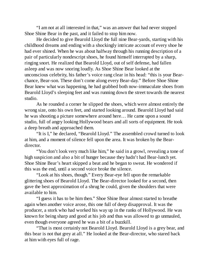"I am not at all interested in that," was an answer that had never stopped Shoe Shine Bear in the past, and it failed to stop him now.

He decided to give Bearold Lloyd the full nine Bear-yards, starting with his childhood dreams and ending with a shockingly intricate account of every shoe he had ever shined. When he was about halfway through his running description of a pair of particularly nondescript shoes, he found himself interrupted by a sharp, ringing snort. He realized that Bearold Lloyd, out of self defense, had fallen asleep and was now snoring loudly. As Shoe Shine Bear looked at the unconscious celebrity, his father's voice rang clear in his head: "this is your Bearchance, Bear-son. These don't come along every Bear-day." Before Shoe Shine Bear knew what was happening, he had grabbed both now-immaculate shoes from Bearold Lloyd's sleeping feet and was running down the street towards the nearest studio.

As he rounded a corner he slipped the shoes, which were almost entirely the wrong size, onto his own feet, and started looking around. Bearold Lloyd had said he was shooting a picture somewhere around here… He came upon a sound studio, full of angry looking Hollywood bears and all sorts of equipment. He took a deep breath and approached them.

"It is I," he declared, "Bearold Lloyd." The assembled crowd turned to look at him, and a moment of silence fell upon the area. It was broken by the Beardirector.

"You don't look very much like him," he said in a growl, revealing a tone of high suspicion and also a bit of hunger because they hadn't had Bear-lunch yet. Shoe Shine Bear's heart skipped a beat and he began to sweat. He wondered if this was the end, until a second voice broke the silence.

"Look at his shoes, though." Every Bear-eye fell upon the remarkable glittering shoes of Bearold Lloyd. The Bear-director looked for a second, then gave the best approximation of a shrug he could, given the shoulders that were available to him.

"I guess it has to be him then." Shoe Shine Bear almost started to breathe again when another voice arose, this one full of deep disapproval. It was the producer, a stork who had worked his way up in the ranks of Hollywood. He was known for being sharp and good at his job and thus was allowed to go unmauled, even though everyone agreed he was a bit of a buzzkill.

"That is most certainly not Bearold Lloyd. Bearold Lloyd is a grey bear, and this bear is not that grey at all." He looked at the Bear-director, who stared back at him with eyes full of rage.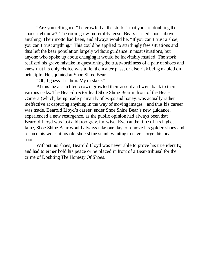"Are you telling me," he growled at the stork, " that you are doubting the shoes right now?"The room grew incredibly tense. Bears trusted shoes above anything. Their motto had been, and always would be, "If you can't trust a shoe, you can't trust anything." This could be applied to startlingly few situations and thus left the bear population largely without guidance in most situations, but anyone who spoke up about changing it would be inevitably mauled. The stork realized his grave mistake in questioning the trustworthiness of a pair of shoes and knew that his only choice was to let the matter pass, or else risk being mauled on principle. He squinted at Shoe Shine Bear.

"Oh, I guess it is him. My mistake."

At this the assembled crowd growled their assent and went back to their various tasks. The Bear-director lead Shoe Shine Bear in front of the Bear-Camera (which, being made primarily of twigs and honey, was actually rather ineffective at capturing anything in the way of moving images), and thus his career was made. Bearold Lloyd's career, under Shoe Shine Bear's new guidance, experienced a new resurgence, as the public opinion had always been that Bearold Lloyd was just a bit too grey, fur-wise. Even at the time of his highest fame, Shoe Shine Bear would always take one day to remove his golden shoes and resume his work at his old shoe shine stand, wanting to never forget his bearroots.

Without his shoes, Bearold Lloyd was never able to prove his true identity, and had to either hold his peace or be placed in front of a Bear-tribunal for the crime of Doubting The Honesty Of Shoes.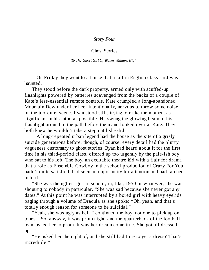#### *Story Four*

#### Ghost Stories

*To The Ghost Girl Of Walter Williams High.*

On Friday they went to a house that a kid in English class said was haunted.

They stood before the dark property, armed only with scuffed-up flashlights powered by batteries scavenged from the backs of a couple of Kate's less-essential remote controls. Kate crumpled a long-abandoned Mountain Dew under her heel intentionally, nervous to throw some noise on the too-quiet scene. Ryan stood still, trying to make the moment as significant in his mind as possible. He swung the glowing beam of his flashlight around to the path before them and looked over at Kate. They both knew he wouldn't take a step until she did.

A long-repeated urban legend had the house as the site of a grisly suicide generations before, though, of course, every detail had the blurry vagueness customary to ghost stories. Ryan had heard about it for the first time in his third-period class, offered up too urgently by the pale-ish boy who sat to his left. The boy, an excitable theatre kid with a flair for drama that a role as Ensemble Cowboy in the school production of Crazy For You hadn't quite satisfied, had seen an opportunity for attention and had latched onto it.

"She was the ugliest girl in school, in, like, 1950 or whatever," he was shouting to nobody in particular, "She was sad because she never got any dates." At this point he was interrupted by a bored girl with heavy eyelids paging through a volume of Dracula as she spoke: "Oh, yeah, and that's totally enough reason for someone to be suicidal."

"Yeah, she was ugly as hell," continued the boy, not one to pick up on tones. "So, anyway, it was prom night, and the quarterback of the football team asked her to prom. It was her dream come true. She got all dressed  $up--"$ 

"He asked her the night of, and she still had time to get a dress? That's incredible."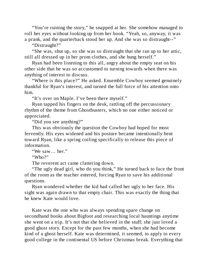"You're ruining the story," he snapped at her. She somehow managed to roll her eyes without looking up from her book. "Yeah, so, anyway, it was a prank, and the quarterback stood her up. And she was so distraught--"

"Distraught?"

"She was, shut up, so she was so distraught that she ran up to her attic, still all dressed up in her prom clothes, and she hung herself."

Ryan had been listening to this all, angry about the empty seat on his other side that he was so accustomed to turning towards when there was anything of interest to discuss.

"Where is this place?" He asked. Ensemble Cowboy seemed genuinely thankful for Ryan's interest, and turned the full force of his attention onto him.

"It's over on Maple. I've been there myself."

Ryan tapped his fingers on the desk, rattling off the percussionary rhythm of the theme from Ghostbusters, which no one either noticed or appreciated.

"Did you see anything?"

This was obviously the question the Cowboy had hoped for most fervently. His eyes widened and his posture became intentionally bent toward Ryan, like a spring coiling specifically to release this piece of information.

```
"We saw… her."
"Who?"
```
The reverent act came clattering down.

"The ugly dead girl, who do you think," He turned back to face the front of the room as the teacher entered, forcing Ryan to save his additional questions.

Ryan wondered whether the kid had called her ugly to her face. His sight was again drawn to that empty chair. This was exactly the thing that he knew Kate would love.

Kate was the one who was always spending spare change on secondhand books about Bigfoot and researching local hauntings anytime she went on a trip. It's not that she believed in the stuff; she just loved a good ghost story. Except for the past few months, when she had become kind of a ghost herself. Kate was determined, it seemed, to apply to every good college in the continental US before Christmas break. Everything that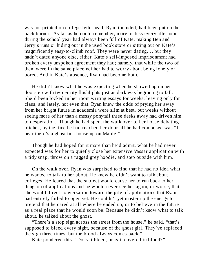was not printed on college letterhead, Ryan included, had been put on the back burner. As far as he could remember, more or less every afternoon during the school year had always been full of Kate, making Ben and Jerry's runs or hiding out in the used book store or sitting out on Kate's magnificently easy-to-climb roof. They were never dating…. but they hadn't dated anyone else, either. Kate's self-imposed imprisonment had broken every unspoken agreement they had; namely, that while the two of them were in the same place neither had to worry about being lonely or bored. And in Kate's absence, Ryan had become both.

He didn't know what he was expecting when he showed up on her doorstep with two empty flashlights just as dark was beginning to fall. She'd been locked in her room writing essays for weeks, leaving only for class, and lately, not even that. Ryan knew the odds of prying her away from her bright future in academia were slim at best, but weeks without seeing more of her than a messy ponytail three desks away had driven him to desperation. Though he had spent the walk over to her house debating pitches, by the time he had reached her door all he had composed was "I hear there's a ghost in a house up on Maple."

Though he had hoped for it more than he'd admit, what he had never expected was for her to quietly close her extensive Vassar application with a tidy snap, throw on a ragged grey hoodie, and step outside with him.

On the walk over, Ryan was surprised to find that he had no idea what he wanted to talk to her about. He knew he didn't want to talk about colleges. He feared that the subject would cause her to run back to her dungeon of applications and he would never see her again, or worse, that she would direct conversation toward the pile of applications that Ryan had entirely failed to open yet. He couldn't yet muster up the energy to pretend that he cared at all where he ended up, or to believe in the future as a real place that he would soon be. Because he didn't know what to talk about, he talked about the ghost.

"There's a stop sign across the street from the house," he said, "that's supposed to bleed every night, because of the ghost girl. They've replaced the sign three times, but the blood always comes back."

Kate pondered this. "Does it bleed, or is it covered in blood?"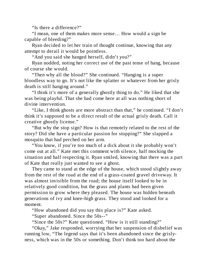"Is there a difference?"

"I mean, one of them makes more sense… How would a sign be capable of bleeding?"

Ryan decided to let her train of thought continue, knowing that any attempt to derail it would be pointless.

"And you said she hanged herself, didn't you?"

Ryan nodded, noting her correct use of the past tense of hang, because of course she would.

"Then why all the blood?" She continued. "Hanging is a super bloodless way to go. It's not like the splatter or whatever from her grisly death is still hanging around."

"I think it's more of a generally ghostly thing to do." He liked that she was being playful. That she had come here at all was nothing short of divine intervention.

"Like, I think ghosts are more abstract than that," he continued. "I don't think it's supposed to be a direct result of the actual grisly death. Call it creative ghostly license."

"But why the stop sign? How is that remotely related to the rest of the story? Did she have a particular passion for stopping?" She slapped a mosquito that had perched on her arm.

"You know, if you're too much of a dick about it she probably won't come out at all." Kate met this comment with silence, half mocking the situation and half respecting it. Ryan smiled, knowing that there was a part of Kate that really just wanted to see a ghost.

They came to stand at the edge of the house, which stood slightly away from the rest of the road at the end of a grass-coated gravel driveway. It was almost invisible from the road; the house itself looked to be in relatively good condition, but the grass and plants had been given permission to grow where they pleased. The house was hidden beneath generations of ivy and knee-high grass. They stood and looked for a moment.

"How abandoned did you say this place is?" Kate asked.

"Super abandoned. Since the 50s--"

"Since the 50s?" Kate questioned. "How is it still standing?"

"Okay," Jake responded, worrying that her suspension of disbelief was running low, "The legend says that it's been abandoned since the grislyness, which was in the 50s or something. Don't think too hard about the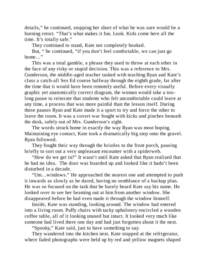details," he continued, stopping her short of what he was sure would be a burning retort. "That's what makes it fun. Look. Kids come here all the time. It's totally safe."

They continued to stand, Kate not completely hooked.

But, " he continued, "if you don't feel comfortable, we can just go home…"

This was a total gamble, a phrase they used to throw at each other in the face of any risky or stupid decision. This was a reference to Mrs. Gunderson, the middle-aged teacher tasked with teaching Ryan and Kate's class a catch-all Sex Ed course halfway through the eighth grade, far after the time that it would have been remotely useful. Before every visually graphic yet anatomically correct diagram, the woman would take a toolong pause to reiterate that students who felt uncomfortable could leave at any time, a process that was more painful than the lesson itself. During these pauses Ryan and Kate made it a sport to try and force the other to leave the room. It was a covert war fought with kicks and pinches beneath the desk, safely out of Mrs. Gunderson's sight.

The words struck home in exactly the way Ryan was most hoping. Maintaining eye contact, Kate took a dramatically big step onto the gravel. Ryan followed.

They fought their way through the bristles to the front porch, pausing briefly to sort out a very unpleasant encounter with a spiderweb.

"How do we get in?" It wasn't until Kate asked that Ryan realized that he had no idea. The door was boarded up and looked like it hadn't been disturbed in a decade.

"Um…windows." He approached the nearest one and attempted to push it inwards as slowly as he dared, having no semblance of a backup plan. He was so focused on the task that he barely heard Kate say his name. He looked over to see her beaming out at him from another window. She disappeared before he had even made it through the window himself.

Inside, Kate was standing, looking around. The window had entered into a living room. Puffy chairs with tacky upholstery encircled a wooden coffee table, all of it looking unused but intact. It looked very much like someone had lived there one day and had just forgotten about it the next.

"Spooky," Kate said, just to have something to say.

They wandered into the kitchen next. Kate stopped at the refrigerator, where faded photographs were held up by red and yellow magnets shaped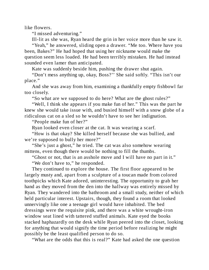like flowers.

"I missed adventuring."

Ill-lit as she was, Ryan heard the grin in her voice more than he saw it.

"Yeah," he answered, sliding open a drawer. "Me too. Where have you been, Bakes?" He had hoped that using her nickname would make the question seem less loaded. He had been terribly mistaken. He had instead sounded even lamer than anticipated.

Kate was suddenly beside him, pushing the drawer shut again.

"Don't mess anything up, okay, Boss?'' She said softly. "This isn't our place."

And she was away from him, examining a thankfully empty fishbowl far too closely.

"So what are we supposed to do here? What are the ghost rules?"

"Well, I think she appears if you make fun of her." This was the part he knew she would take issue with, and busied himself with a snow globe of a ridiculous cat on a sled so he wouldn't have to see her indignation.

"People make fun of her?"

Ryan looked even closer at the cat. It was wearing a scarf.

"How is that okay? She killed herself because she was bullied, and we're supposed to bully her more?"

"She's just a ghost," he tried. The cat was also somehow wearing mittens, even though there would be nothing to fill the thumbs.

"Ghost or not, that is an asshole move and I will have no part in it." "We don't have to," he responded.

They continued to explore the house. The first floor appeared to be largely musty and, apart from a sculpture of a toucan made from colored toothpicks which Kate adored, uninteresting. The opportunity to grab her hand as they moved from the den into the hallway was entirely missed by Ryan. They wandered into the bathroom and a small study, neither of which held particular interest. Upstairs, though, they found a room that looked unnervingly like one a teenage girl would have inhabited. The bed dressings were the requisite pink, and there was a white wrought-iron window seat lined with tattered stuffed animals. Kate eyed the books stacked haphazardly on the desk while Ryan peered into the closet, looking for anything that would signify the time period before realizing he might possibly be the least qualified person to do so.

"What are the odds that this is real?" Kate had asked the one question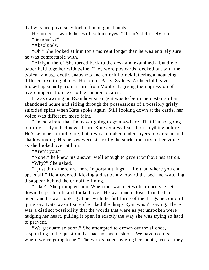that was unequivocally forbidden on ghost hunts.

He turned towards her with solemn eyes. "Oh, it's definitely real."

"Seriously?"

"Absolutely."

"Oh." She looked at him for a moment longer than he was entirely sure he was comfortable with.

"Alright, then." She turned back to the desk and examined a bundle of paper held together with twine. They were postcards, decked out with the typical vintage exotic snapshots and colorful block lettering announcing different exciting places: Honolulu, Paris, Sydney. A cheerful beaver looked up sunnily from a card from Montreal, giving the impression of overcompensation next to the sunnier locales.

It was dawning on Ryan how strange it was to be in the upstairs of an abandoned house and rifling through the possessions of a possibly grisly suicided spirit when Kate spoke again. Still looking down at the cards, her voice was different, more faint.

"I'm so afraid that I'm never going to go anywhere. That I'm not going to matter." Ryan had never heard Kate express fear about anything before. He's seen her afraid, sure, but always cloaked under layers of sarcasm and shadowboxing. His nerves were struck by the stark sincerity of her voice as she looked over at him.

"Aren't you?"

"Nope," he knew his answer well enough to give it without hesitation. "Why?" She asked.

"I just think there are more important things in life than where you end up, is all." He answered, kicking a dust bunny toward the bed and watching disappear behind the crinoline lining.

"Like?" She prompted him. When this was met with silence she set down the postcards and looked over. He was much closer than he had been, and he was looking at her with the full force of the things he couldn't quite say. Kate wasn't sure she liked the things Ryan wasn't saying. There was a distinct possibility that the words that were as yet unspoken were nudging her heart, pulling it open in exactly the way she was trying so hard to prevent.

"We graduate so soon." She attempted to drown out the silence, responding to the question that had not been asked. "We have no idea where we're going to be." The words hated leaving her mouth, true as they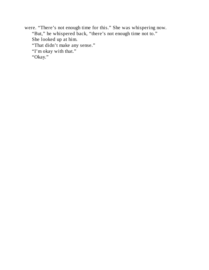were. "There's not enough time for this." She was whispering now. "But," he whispered back, "there's not enough time not to." She looked up at him. "That didn't make any sense." "I'm okay with that." "Okay."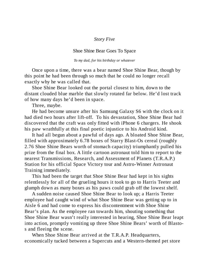#### *Story Five*

#### Shoe Shine Bear Goes To Space

#### *To my dad, for his birthday or whatever*

Once upon a time, there was a bear named Shoe Shine Bear, though by this point he had been through so much that he could no longer recall exactly why he was called that.

Shoe Shine Bear looked out the portal closest to him, down to the distant clouded blue marble that slowly rotated far below. He'd lost track of how many days he'd been in space.

Three, maybe.

He had become unsure after his Samsung Galaxy S6 with the clock on it had died two hours after lift-off. To his devastation, Shoe Shine Bear had discovered that the craft was only fitted with iPhone 6 chargers. He shook his paw wrathfully at this final poetic injustice to his Android kind.

It had all begun about a pawful of days ago. A bloated Shoe Shine Bear, filled with approximately 6.78 boxes of Starry Blast-Os cereal (roughly 2.76 Shoe Shine Bears worth of stomach capacity) triumphantly pulled his prize from the final box. A little cartoon astronaut told him to report to the nearest Transmissions, Research, and Assessment of Planets (T.R.A.P.) Station for his official Space Victory tour and Astro-Winner Astronaut Training immediately.

This had been the target that Shoe Shine Bear had kept in his sights relentlessly for all of the grueling hours it took to go to Harris Teeter and glumph down as many boxes as his paws could grab off the lowest shelf.

A sudden noise caused Shoe Shine Bear to look up; a Harris Teeter employee had caught wind of what Shoe Shine Bear was getting up to in Aisle 6 and had come to express his discontentment with Shoe Shine Bear's plan. As the employee ran towards him, shouting something that Shoe Shine Bear wasn't really interested in hearing, Shoe Shine Bear leapt into action, promptly vomiting up three Shoe Shine Bears' worth of Blastos and fleeing the scene.

When Shoe Shine Bear arrived at the T.R.A.P. Headquarters, economically tucked between a Supercuts and a Western-themed pet store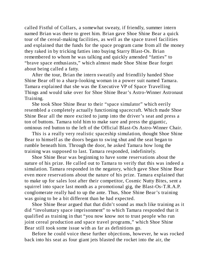called Fistful of Collars, a somewhat sweaty, if friendly, summer intern named Brian was there to greet him. Brian gave Shoe Shine Bear a quick tour of the cereal-making facilities, as well as the space travel facilities and explained that the funds for the space program came from all the money they raked in by tricking fatties into buying Starry Blast-Os. Brian remembered to whom he was talking and quickly amended "fatties" to "brave space enthusiasts," which almost made Shoe Shine Bear forget about being called a fatty.

After the tour, Brian the intern sweatily and friendlily handed Shoe Shine Bear off to a sharp-looking woman in a power suit named Tamara. Tamara explained that she was the Executive VP of Space Travelling Things and would take over for Shoe Shine Bear's Astro-Winner Astronaut Training.

She took Shoe Shine Bear to their "space simulator" which eerily resembled a completely actually functioning spacecraft. Which made Shoe Shine Bear all the more excited to jump into the driver's seat and press a ton of buttons. Tamara told him to make sure and press the gigantic, ominous red button to the left of the Official Blast-Os Astro-Winner Chair.

This is a really very realistic spaceship simulation, thought Shoe Shine Bear to himself as the doors began to swing shut and the seat began to rumble beneath him. Through the door, he asked Tamara how long the training was supposed to last. Tamara responded, indefinitely.

Shoe Shine Bear was beginning to have some reservations about the nature of his prize. He called out to Tamara to verify that this was indeed a simulation. Tamara responded in the negatory, which gave Shoe Shine Bear even more reservations about the nature of his prize. Tamara explained that to make up for sales lost after their competitor, Cosmic Nutty Bites, sent a squirrel into space last month as a promotional gig, the Blast-Os-T.R.A.P. conglomerate really had to up the ante. Thus, Shoe Shine Bear's training was going to be a bit different than he had expected.

Shoe Shine Bear argued that that didn't sound as much like training as it did "involuntary space imprisonment" to which Tamara responded that it qualified as training in that "you now know not to trust people who run joint cereal production and space travel programs," which Shoe Shine Bear still took some issue with as far as definitions go.

Before he could voice these further objections, however, he was rocked back into his seat as four giant jets blasted the rocket into the air, the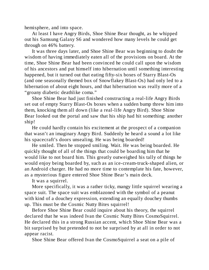hemisphere, and into space.

At least I have Angry Birds, Shoe Shine Bear thought, as he whipped out his Samsung Galaxy S6 and wondered how many levels he could get through on 46% battery.

It was three days later, and Shoe Shine Bear was beginning to doubt the wisdom of having immediately eaten all of the provisions on board. At the time, Shoe Shine Bear had been convinced he could call upon the wisdom of his ancestors and put himself into hibernation until something interesting happened, but it turned out that eating fifty-six boxes of Starry Blast-Os (and one seasonally themed box of Snowflakey Blast-Os) had only led to a hibernation of about eight hours, and that hibernation was really more of a "groany diabetic deathlike coma."

Shoe Shine Bear had just finished constructing a real-life Angry Birds set out of empty Starry Blast-Os boxes when a sudden bump threw him into them, knocking them all down (like a real-life Angry Bird). Shoe Shine Bear looked out the portal and saw that his ship had hit something: another ship!

He could hardly contain his excitement at the prospect of a companion that wasn't an imaginary Angry Bird. Suddenly he heard a sound a lot like his spacecraft's doors unsealing. He was being boarded!

He smiled. Then he stopped smiling. Wait. He was being boarded. He quickly thought of all of the things that could be boarding him that he would like to not board him. This greatly outweighed his tally of things he would enjoy being boarded by, such as an ice-cream-truck-shaped alien, or an Android charger. He had no more time to contemplate his fate, however, as a mysterious figure entered Shoe Shine Bear's main deck.

It was a squirrel.

More specifically, it was a rather ticky, mangy little squirrel wearing a space suit. The space suit was emblazoned with the symbol of a peanut with kind of a douchey expression, extending an equally douchey thumbs up. This must be the Cosmic Nutty Bites squirrel!

Before Shoe Shine Bear could inquire about his theory, the squirrel declared that he was indeed Ivan the Cosmic Nutty Bites CosmoSquirrel. He declared this in a strong Russian accent, which Shoe Shine Bear was a bit surprised by but pretended to not be surprised by at all in order to not appear racist.

Shoe Shine Bear offered Ivan the CosmoSquirrel a seat on a pile of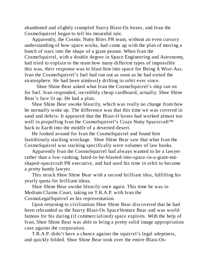abandoned and slightly crumpled Starry Blast-Os boxes, and Ivan the CosmoSquirrel began to tell his mournful tale.

Apparently, the Cosmic Nutty Bites PR team, without an even cursory understanding of how space works, had come up with the plan of moving a bunch of stars into the shape of a giant peanut. When Ivan the CosmoSquirrel, with a double degree in Space Engineering and Astronomy, had tried to explain to the team how many different types of impossible this was, their response was to blast him into space for Being A Wise-Ass. Ivan the CosmoSquirrel's fuel had run out as soon as he had exited the stratosphere. He had been aimlessly drifting in orbit ever since.

Shoe Shine Bear asked what Ivan the CosmoSquirrel's ship ran on for fuel. Ivan responded, incredibly cheap cardboard, actually. Shoe Shine Bear's face lit up. He had a plan.

Shoe Shine Bear awoke blearily, which was really no change from how he normally woke up. The difference was that this time we was covered in sand and debris. It appeared that the Blast-O boxes had worked almost too well in propelling Ivan the CosmoSquirrel's Crazy Nutty Spacecraft™ back to Earth into the middle of a deserted desert.

He looked around for Ivan the CosmoSquirrel and found him fastidiously stacking wreckage. Shoe Shine Bear saw that what Ivan the CosmoSquirrel was stacking specifically were volumes of law books.

Apparently Ivan the CosmoSquirrel had always wanted to be a lawyer rather than a low-ranking, fated-to-be-blasted-into-space-in-a-giant-nutshaped-spacecraft PR executive, and had used his time in orbit to become a pretty handy lawyer.

This struck Shoe Shine Bear with a second brilliant idea, fulfilling his yearly quota for brilliant ideas.

Shoe Shine Bear awoke blearily once again. This time he was in Medium Claims Court, taking on T.R.A.P. with Ivan the CosmoLegalSquirrel as his representation.

Upon returning to civilization Shoe Shine Bear discovered that he had been rebranded as the Starry Blast-Os SpaceVenture Bear and was world famous for his daring (if commercialized) space exploits. With the help of Ivan, Shoe Shine Bear was able to bring a pretty solid image appropriation case against the corporation.

T.R.A.P. didn't have a chance against the squirrel's legal adeptness, and quickly folded. Shoe Shine Bear took over the entire Blast-Os-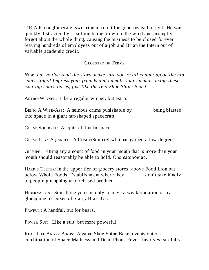T.R.A.P. conglomerate, swearing to run it for good instead of evil. He was quickly distracted by a balloon being blown in the wind and promptly forgot about the whole thing, causing the business to be closed forever leaving hundreds of employees out of a job and Brian the Intern out of valuable academic credit.

#### GLOSSARY OF TERMS

*Now that you've read the story, make sure you're all caught up on the hip space lingo! Impress your friends and humble your enemies using these exciting space terms, just like the real Shoe Shine Bear!*

ASTRO-WINNER: Like a regular winner, but astro.

BEING A WISE-Ass: A heinous crime punishable by being blasted into space in a giant nut-shaped spacecraft.

COSMOSQUIRREL: A squirrel, but in space.

COSMOLEGALSQUIRREL: A CosmoSquirrel who has gained a law degree.

GLUMPH: Fitting any amount of food in your mouth that is more than your mouth should reasonably be able to hold. Onomatopoeiac.

HARRIS TEETER: in the upper tier of grocery stores, above Food Lion but below Whole Foods. Establishment where they don't take kindly to people glumphing unpurchased product.

HIBERNATION : Something you can only achieve a weak imitation of by glumphing 57 boxes of Starry Blast-Os.

PAWFUL : A handful, but for bears.

POWER SUIT: Like a suit, but more powerful.

REAL-LIFE ANGRY BIRDS: A game Shoe Shine Bear invents out of a combination of Space Madness and Dead Phone Fever. Involves carefully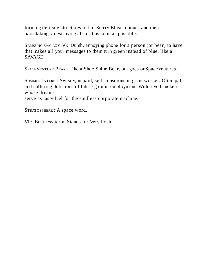forming delicate structures out of Starry Blast-o boxes and then painstakingly destroying all of it as soon as possible.

SAMSUNG GALAXY S6: Dumb, annoying phone for a person (or bear) to have that makes all your messages to them turn green instead of blue, like a SAVAGE.

SPACEVENTURE BEAR: Like a Shoe Shine Bear, but goes onSpaceVentures.

SUMMER INTERN : Sweaty, unpaid, self-conscious migrant worker. Often pale and suffering delusions of future gainful employment. Wide-eyed suckers whose dreams

serve as tasty fuel for the soulless corporate machine.

STRATOSPHERE : A space word.

VP: Business term. Stands for Very Posh.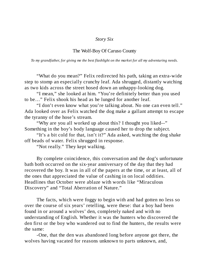#### *Story Six*

#### The Wolf-Boy Of Caruso County

*To my grandfather, for giving me the best flashlight on the market for all my adventuring needs.*

"What do you mean?" Felix redirected his path, taking an extra-wide step to stomp an especially crunchy leaf. Ada shrugged, distantly watching as two kids across the street hosed down an unhappy-looking dog.

"I mean," she looked at him. "You're definitely better than you used to be…" Felix shook his head as he lunged for another leaf.

"I don't even know what you're talking about. No one can even tell." Ada looked over as Felix watched the dog make a gallant attempt to escape the tyranny of the hose's stream.

"Why are you all worked up about this? I thought you liked--" Something in the boy's body language caused her to drop the subject.

"It's a bit cold for that, isn't it?" Ada asked, watching the dog shake off beads of water. Felix shrugged in response.

"Not really." They kept walking.

By complete coincidence, this conversation and the dog's unfortunate bath both occurred on the six-year anniversary of the day that they had recovered the boy. It was in all of the papers at the time, or at least, all of the ones that appreciated the value of cashing in on local oddities. Headlines that October were ablaze with words like "Miraculous Discovery" and "Total Aberration of Nature."

The facts, which were foggy to begin with and had gotten no less so over the course of six years' retelling, were these: that a boy had been found in or around a wolves' den, completely naked and with no understanding of English. Whether it was the hunters who discovered the den first or the boy who wandered out to find the hunters, the results were the same:

-One, that the den was abandoned long before anyone got there, the wolves having vacated for reasons unknown to parts unknown, and,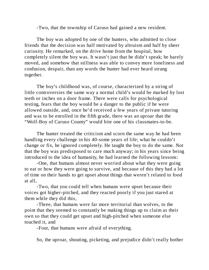-Two, that the township of Caruso had gained a new resident.

The boy was adopted by one of the hunters, who admitted to close friends that the decision was half motivated by altruism and half by sheer curiosity. He remarked, on the drive home from the hospital, how completely silent the boy was. It wasn't just that he didn't speak; he barely moved, and somehow that stillness was able to convey more loneliness and confusion, despair, than any words the hunter had ever heard strung together.

The boy's childhood was, of course, characterized by a string of little controversies the same way a normal child's would be marked by lost teeth or inches on a door frame. There were calls for psychological testing, fears that the boy would be a danger to the public if he were allowed outside, and, once he'd received a few years of private tutoring and was to be enrolled in the fifth grade, there was an uproar that the "Wolf-Boy of Caruso County" would bite one of his classmates-to-be.

The hunter treated the criticism and scorn the same way he had been handling every challenge in his 40-some years of life; what he couldn't change or fix, he ignored completely. He taught the boy to do the same. Not that the boy was predisposed to care much anyway; in his years since being introduced to the idea of humanity, he had learned the following lessons:

-One, that humans almost never worried about what they were going to eat or how they were going to survive, and because of this they had a lot of time on their hands to get upset about things that weren't related to food at all,

-Two, that you could tell when humans were upset because their voices got higher-pitched, and they reacted poorly if you just stared at them while they did this,

-Three, that humans were far more territorial than wolves, to the point that they seemed to constantly be making things up to claim as their own so that they could get upset and high-pitched when someone else touched it, and

-Four, that humans were afraid of everything.

So, the uproar, shouting, picketing, and prejudice didn't really bother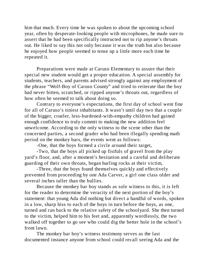him that much. Every time he was spoken to about the upcoming school year, often by desperate-looking people with microphones, he made sure to assert that he had been specifically instructed not to rip anyone's throats out. He liked to say this not only because it was the truth but also because he enjoyed how people seemed to tense up a little more each time he repeated it.

Preparations were made at Caruso Elementary to assure that their special new student would get a proper education. A special assembly for students, teachers, and parents advised strongly against any employment of the phrase "Wolf-Boy of Caruso County" and tried to reiterate that the boy had never bitten, scratched, or ripped anyone's throats out, regardless of how often he seemed to talk about doing so.

Contrary to everyone's expectations, the first day of school went fine for all of Caruso's tiniest inhabitants. It wasn't until day two that a couple of the bigger, crueler, less-burdened-with-empathy children had gained enough confidence to truly commit to making the new addition feel unwelcome. According to the only witness to the scene other than the concerned parties, a second grader who had been illegally spending math period on the monkey bars, the events went as follows:

-One, that the boys formed a circle around their target,

-Two, that the boys all picked up fistfuls of gravel from the play yard's floor, and, after a moment's hesitation and a careful and deliberate guarding of their own throats, began hurling rocks at their victim,

-Three, that the boys found themselves quickly and effectively prevented from proceeding by one Ada Carver, a girl one class older and several inches taller than the bullies.

Because the monkey bar boy stands as sole witness to this, it is left for the reader to determine the veracity of the next portion of the boy's statement: that young Ada did nothing but direct a handful of words, spoken in a low, sharp hiss to each of the boys in turn before the boys, as one, turned and ran back to the relative safety of the schoolyard. She then turned to the victim, helped him to his feet and, apparently wordlessly, the two walked off together to go see who could dig the better hole in the school's front lawn.

The monkey bar boy's witness testimony serves as the last documented instance anyone from school could recall seeing Ada and the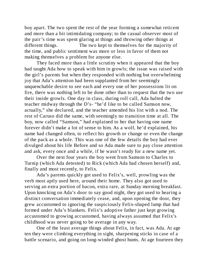boy apart. The two spent the rest of the year forming a somewhat reticent and more than a bit intimidating company; to the casual observer most of the pair's time was spent glaring at things and throwing other things at different things. The two kept to themselves for the majority of the time, and public sentiment was more or less in favor of them not making themselves a problem for anyone else.

They faced more than a little scrutiny when it appeared that the boy had taught Ada how to speak with him in growls; the issue was raised with the girl's parents but when they responded with nothing but overwhelming joy that Ada's attention had been supplanted from her seemingly unquenchable desire to see each and every one of her possessions lit on fire, there was nothing left to be done other than to request that the two use their inside growls. One day in class, during roll call, Ada halted the teacher midway through the D's- "he'd like to be called Samson now, actually," she declared, and the teacher amended his list with a nod. The rest of Caruso did the same, with seemingly no transition time at all. The boy, now called "Samson," had explained to her that having one name forever didn't make a lot of sense to him. As a wolf, he'd explained, his name had changed often, to reflect his growth or change or even the change of the pack as a whole. This was one of the few details the boy had ever divulged about his life Before and so Ada made sure to pay close attention and ask, every once and a while, if he wasn't ready for a new name yet.

Over the next four years the boy went from Samson to Charles to Turnip (which Ada detested) to Rick (which Ada had chosen herself) and, finally and most recently, to Felix.

Ada's parents quickly got used to Felix's, well, prowling was the verb most aptly used here, around their home. They also got used to serving an extra portion of bacon, extra rare, at Sunday morning breakfast. Upon knocking on Ada's door to say good night, they got used to hearing a distinct conversation immediately cease, and, upon opening the door, they grew accustomed to ignoring the suspiciously Felix-shaped lump that had formed under Ada's blankets. Felix's adoptive father just kept growing accustomed to growing accustomed, having always assumed that Felix's childhood was never going to be average in any way.

One of the least average things about Felix, in fact, was Ada. At age ten they were climbing everything in sight, sharpening sticks in case of a battle scenario, and going on long-winded ghost hunts. At age fourteen they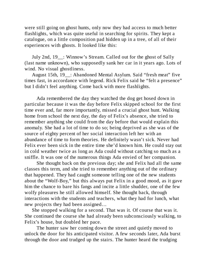were still going on ghost hunts, only now they had access to much better flashlights, which was quite useful in searching for spirits. They kept a catalogue, on a little composition pad hidden up in a tree, of all of their experiences with ghosts. It looked like this:

July 2nd, 19 : Winnow's Stream. Called out for the ghost of Sally (last name unknown), who supposedly sank her car in it years ago. Lots of wind. No visual ghostliness.

August 15th, 19\_\_: Abandoned Mental Asylum. Said "fresh meat" five times fast, in accordance with legend. Rick Felix said he "felt a presence" but I didn't feel anything. Come back with more flashlights.

Ada remembered the day they watched the dog get hosed down in particular because it was the day before Felix skipped school for the first time ever and, far more importantly, missed a crucial ghost hunt. Walking home from school the next day, the day of Felix's absence, she tried to remember anything she could from the day before that would explain this anomaly. She had a lot of time to do so; being deprived as she was of the source of eighty percent of her social interaction left her with an abundance of time to form theories. He definitely wasn't sick. Never had Felix ever been sick in the entire time she'd known him. He could stay out in cold weather twice as long as Ada could without catching so much as a sniffle. It was one of the numerous things Ada envied of her companion.

She thought back on the previous day; she and Felix had all the same classes this term, and she tried to remember anything out of the ordinary that happened. They had caught someone telling one of the new students about the "Wolf-Boy," but this always put Felix in a good mood, as it gave him the chance to bare his fangs and incite a little shudder, one of the few wolfy pleasures he still allowed himself. She thought back, through interactions with the students and teachers, what they had for lunch, what new projects they had been assigned…

She stopped walking for a second. That was it. Of course that was it. She continued the course she had already been subconsciously walking, to Felix's house, but doubled her pace.

The hunter saw her coming down the street and quietly moved to unlock the door for his anticipated visitor. A few seconds later, Ada burst through the door and trudged up the stairs. The hunter heard the trudging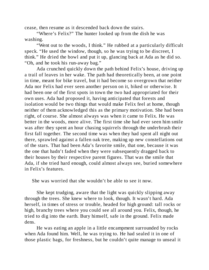cease, then resume as it descended back down the stairs.

"Where's Felix?" The hunter looked up from the dish he was washing.

"Went out to the woods, I think." He rubbed at a particularly difficult speck. "He used the window, though, so he was trying to be discreet, I think." He dried the bowl and put it up, glancing back at Ada as he did so. "Oh, and he took his run-away bag."

Ada crunched quickly down the path behind Felix's house, driving up a trail of leaves in her wake. The path had theoretically been, at one point in time, meant for bike travel, but it had become so overgrown that neither Ada nor Felix had ever seen another person on it, biked or otherwise. It had been one of the first spots in town the two had appropriated for their own uses. Ada had proposed it, having anticipated that forests and isolation would be two things that would make Felix feel at home, though neither of them acknowledged this as the primary motivation. She had been right, of course. She almost always was when it came to Felix. He was better in the woods, more alive. The first time she had ever seen him smile was after they spent an hour chasing squirrels through the underbrush their first fall together. The second time was when they had spent all night out there, sprawled against a fallen oak tree, making up new constellations out of the stars. That had been Ada's favorite smile, that one, because it was the one that hadn't faded when they were subsequently dragged back to their houses by their respective parent figures. That was the smile that Ada, if she tried hard enough, could almost always see, buried somewhere in Felix's features.

She was worried that she wouldn't be able to see it now.

She kept trudging, aware that the light was quickly slipping away through the trees. She knew where to look, though. It wasn't hard. Ada herself, in times of stress or trouble, headed for high ground: tall rocks or high, branchy trees where you could see all around you. Felix, though, he tried to dig into the earth. Bury himself, safe in the ground. Felix made dens.

He was eating an apple in a little encampment surrounded by rocks when Ada found him. Well, he was trying to. He had sealed it in one of those plastic bags, for freshness, but he couldn't quite manage to unseal it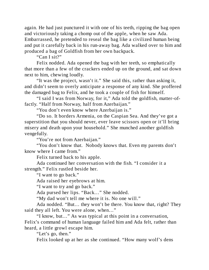again. He had just punctured it with one of his teeth, ripping the bag open and victoriously taking a chomp out of the apple, when he saw Ada. Embarrassed, he pretended to reseal the bag like a civilized human being and put it carefully back in his run-away bag. Ada walked over to him and produced a bag of Goldfish from her own backpack.

"Can I sit?"

Felix nodded. Ada opened the bag with her teeth, so emphatically that more than a few of the crackers ended up on the ground, and sat down next to him, chewing loudly.

"It was the project, wasn't it." She said this, rather than asking it, and didn't seem to overly anticipate a response of any kind. She proffered the damaged bag to Felix, and he took a couple of fish for himself.

"I said I was from Norway, for it," Ada told the goldfish, matter-offactly. "Half from Norway, half from Azerbaijan."

"You don't even know where Azerbaijan is."

"Do so. It borders Armenia, on the Caspian Sea. And they've got a superstition that you should never, ever leave scissors open or it'll bring misery and death upon your household." She munched another goldfish vengefully.

"You're not from Azerbaijan."

"You don't know that. Nobody knows that. Even my parents don't know where I came from."

Felix turned back to his apple.

Ada continued her conversation with the fish. "I consider it a strength." Felix rustled beside her.

"I want to go back."

Ada raised her eyebrows at him.

"I want to try and go back."

Ada pursed her lips. "Back…" She nodded.

"My dad won't tell me where it is. No one will."

Ada nodded. "But… they won't be there. You know that, right? They said they all left. You were alone, when…"

"I know, but…" As was typical at this point in a conversation, Felix's command of human language failed him and Ada felt, rather than heard, a little growl escape him.

"Let's go, then."

Felix looked up at her as she continued. "How many wolf's dens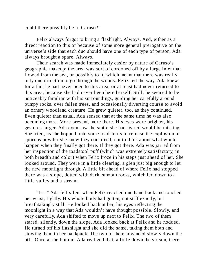could there possibly be in Caruso?"

Felix always forgot to bring a flashlight. Always. And, either as a direct reaction to this or because of some more general prerogative on the universe's side that each duo should have one of each type of person, Ada always brought a spare. Always.

Their search was made immediately easier by nature of Caruso's geographic makeup; the area was sort of cordoned off by a large inlet that flowed from the sea, or possibly to it, which meant that there was really only one direction to go through the woods. Felix led the way. Ada knew for a fact he had never been to this area, or at least had never returned to this area, because she had never been here herself. Still, he seemed to be noticeably familiar with his surroundings, guiding her carefully around bumpy rocks, over fallen trees, and occasionally diverting course to avoid an ornery woodland creature. He grew quieter, too, as they continued. Even quieter than usual. Ada sensed that at the same time he was also becoming more. More present, more there. His eyes were brighter, his gestures larger. Ada even saw the smile she had feared would be missing. She tried, as she hopped onto some toadstools to release the explosion of sporous powder she knew they contained, not to think about what would happen when they finally got there. If they got there. Ada was jarred from her inspection of the toadstool puff (which was extremely satisfactory, in both breadth and color) when Felix froze in his steps just ahead of her. She looked around. They were in a little clearing, a glen just big enough to let the new moonlight through. A little bit ahead of where Felix had stopped there was a slope, dotted with dark, smooth rocks, which led down to a little valley and a stream.

"Is--" Ada fell silent when Felix reached one hand back and touched her wrist, lightly. His whole body had gotten, not stiff exactly, but breathtakingly still. He looked back at her, his eyes reflecting the moonlight in a way that Ada wouldn't have thought possible. Slowly, and very carefully, Ada shifted to move up next to Felix. The two of them stared, silently, down the slope. Ada looked back at Felix and he nodded. He turned off his flashlight and she did the same, taking them both and stowing them in her backpack. The two of them advanced slowly down the hill. Once at the bottom, Ada realized that, a little down the stream, there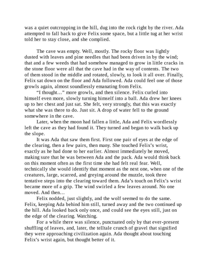was a quiet outcropping in the hill, dug into the rock right by the river. Ada attempted to fall back to give Felix some space, but a little tug at her wrist told her to stay close, and she complied.

The cave was empty. Well, mostly. The rocky floor was lightly dusted with leaves and pine needles that had been driven in by the wind; that and a few weeds that had somehow managed to grow in little cracks in the stone floor were all that the cave had in the way of contents. The two of them stood in the middle and rotated, slowly, to look it all over. Finally, Felix sat down on the floor and Ada followed. Ada could feel one of those growls again, almost soundlessly emanating from Felix.

"I thought…" more growls, and then silence. Felix curled into himself even more, slowly turning himself into a ball. Ada drew her knees up to her chest and just sat. She felt, very strongly, that this was exactly what she was there to do. Just sit. A drop of water fell to the ground somewhere in the cave.

Later, when the moon had fallen a little, Ada and Felix wordlessly left the cave as they had found it. They turned and began to walk back up the slope.

It was Ada that saw them first. First one pair of eyes at the edge of the clearing, then a few pairs, then many. She touched Felix's wrist, exactly as he had done to her earlier. Almost immediately he moved, making sure that he was between Ada and the pack. Ada would think back on this moment often as the first time she had felt real fear. Well, technically she would identify that moment as the next one, when one of the creatures, large, scarred, and greying around the muzzle, took three tentative steps into the clearing toward them. Ada's touch on Felix's wrist became more of a grip. The wind swirled a few leaves around. No one moved. And then…

Felix nodded, just slightly, and the wolf seemed to do the same. Felix, keeping Ada behind him still, turned away and the two continued up the hill. Ada looked back only once, and could see the eyes still, just on the edge of the clearing. Watching.

For a while there was silence, punctuated only by that ever-present shuffling of leaves, and, later, the telltale crunch of gravel that signified they were approaching civilization again. Ada thought about touching Felix's wrist again, but thought better of it.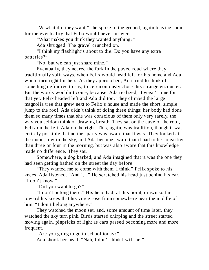"W-what did they want," she spoke to the ground, again leaving room for the eventuality that Felix would never answer.

"What makes you think they wanted anything?"

Ada shrugged. The gravel crunched on.

"I think my flashlight's about to die. Do you have any extra batteries?"

"No, but we can just share mine."

Eventually, they neared the fork in the paved road where they traditionally split ways, when Felix would head left for his home and Ada would turn right for hers. As they approached, Ada tried to think of something definitive to say, to ceremoniously close this strange encounter. But the words wouldn't come, because, Ada realized, it wasn't time for that yet. Felix headed left and Ada did too. They climbed the large magnolia tree that grew next to Felix's house and made the short, simple jump to the roof. Ada didn't think of doing these things; her body had done them so many times that she was conscious of them only very rarely, the way you seldom think of drawing breath. They sat on the eave of the roof, Felix on the left, Ada on the right. This, again, was tradition, though it was entirely possible that neither party was aware that it was. They looked at the moon, low in the sky, and Ada became aware that it had to be no earlier than three or four in the morning, but was also aware that this knowledge made no difference. They sat.

Somewhere, a dog barked, and Ada imagined that it was the one they had seen getting bathed on the street the day before.

"They wanted me to come with them, I think." Felix spoke to his knees. Ada listened. "And I…" He scratched his head just behind his ear. "I don't know."

"Did you want to go?"

"I don't belong there." His head had, at this point, drawn so far toward his knees that his voice rose from somewhere near the middle of him. "I don't belong anywhere."

They watched the moon set, and, some amount of time later, they watched the sky turn pink. Birds started chirping and the street started moving again, pinpricks of light as cars passed becoming more and more frequent.

"Are you going to go to school today?"

Ada shook her head. "Nah, I don't think I will be."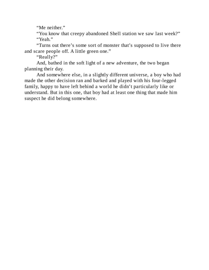"Me neither."

"You know that creepy abandoned Shell station we saw last week?" "Yeah."

"Turns out there's some sort of monster that's supposed to live there and scare people off. A little green one."

"Really?"

And, bathed in the soft light of a new adventure, the two began planning their day.

And somewhere else, in a slightly different universe, a boy who had made the other decision ran and barked and played with his four-legged family, happy to have left behind a world he didn't particularly like or understand. But in this one, that boy had at least one thing that made him suspect he did belong somewhere.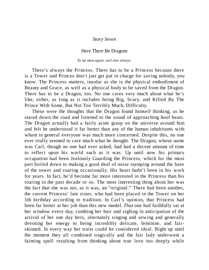#### *Story Seven*

#### Here There Be Dragons

#### *To my mom again, and also always.*

There's always the Princess. There has to be a Princess because there is a Tower and Princes don't just get put in charge for saving nobody, you know. The Princess matters, insofar as she is the physical embodiment of Beauty and Grace, as well as a physical body to be saved from the Dragon. There has to be a Dragon, too. No one cares very much about what he's like, either, as long as it includes being Big, Scary, and Killed By The Prince With Some, But Not Too Terribly Much, Difficulty.

These were the thoughts that the Dragon found himself thinking, as he stared down the road and listened to the sound of approaching hoof beats. The Dragon actually had a fairly acute grasp on the universe around him and felt he understood it far better than any of the human inhabitants with whom in general everyone was much more concerned. Despite this, no one ever really seemed to care much what he thought. The Dragon, whose name was Carl, though no one had ever asked, had had a decent amount of time to reflect upon his world such as it was. Up until now his primary occupation had been Jealously Guarding the Princess, which for the most part boiled down to making a good deal of noise stamping around the base of the tower and roaring occasionally. His heart hadn't been in his work for years. In fact, he'd become far more interested in the Princess than his roaring in the past decade or so. The most interesting thing about her was the fact that she was not, as it was, an "original." There had been another, the current Princess' late sister, who had been placed in the Tower on her 5th birthday according to tradition. In Carl's opinion, that Princess had been far better at her job than this new model. *That* one had faithfully sat at her window every day, combing her hair and sighing in anticipation of the arrival of her one day hero, alternately singing and sewing and generally devoting her energy to being incredibly delicate, feminine, and fairskinned. In every way her traits could be considered ideal. Right up until the moment they all combined tragically and the fair lady underwent a fainting spell resulting from thinking about true love too deeply while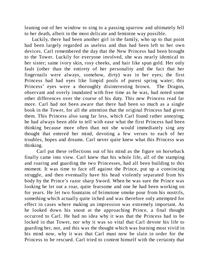leaning out of her window to sing to a passing sparrow and ultimately fell to her death, albeit in the most delicate and feminine way possible.

Luckily, there had been another girl in the family, who up to that point had been largely regarded as useless and thus had been left to her own devices. Carl remembered the day that the New Princess had been brought to the Tower. Luckily for everyone involved, she was nearly identical to her sister; same ivory skin, rosy cheeks, and hair like spun gold. Her only fault (other than the entirety of her personality and the fact that her fingernails were always, somehow, dirty) was in her eyes; the first Princess had had eyes like limpid pools of purest spring water; this Princess' eyes were a thoroughly disinteresting brown. The Dragon, observant and overly inundated with free time as he was, had noted some other differences over the course of his duty. This new Princess read far more. Carl had not been aware that there had been so much as a single book in the Tower, for all the attention that the original Princess had given them. This Princess also sang far less, which Carl found rather annoying; he had always been able to tell with ease what the first Princess had been thinking because more often than not she would immediately sing any thought that entered her mind, devoting a few verses to each of her troubles, hopes and dreams. Carl never quite knew what this Princess was thinking.

Carl put these reflections out of his mind as the figure on horseback finally came into view. Carl knew that his whole life, all of the stamping and roaring and guarding the two Princesses, had all been building to this moment. It was time to face off against the Prince, put up a convincing struggle, and then eventually have his head violently separated from his body by the Prince's razor sharp Sword. When he was sure the Prince was looking he let out a roar, quite fearsome and one he had been working on for years. He let two fountains of brimstone smoke pour from his nostrils, something which actually quite itched and was therefore only attempted for effect in cases where making an impression was extremely important. As he looked down his snout at the approaching Prince, a final thought occurred to Carl. He had no idea why it was that the Princess had to be locked in that Tower, nor why it was so vital that Carl devote his life to guarding her, nor, and this was the thought which was burning most vivid in his mind now, why it was that Carl must now be slain in order for the Princess to be rescued. Carl tried to content himself with the certainty that